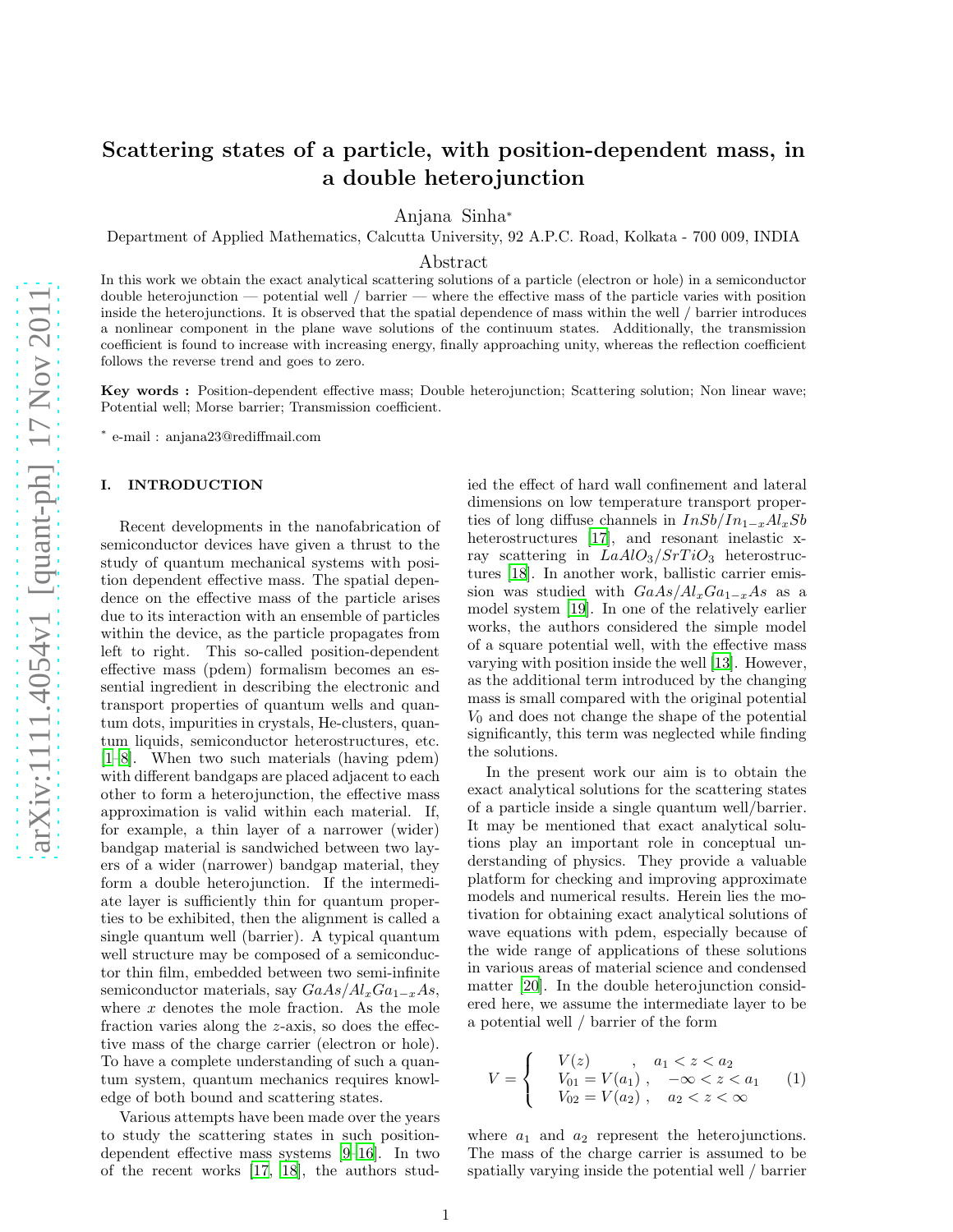# Scattering states of a particle, with position-dependent mass, in a double heterojunction

Anjana Sinha<sup>∗</sup>

Department of Applied Mathematics, Calcutta University, 92 A.P.C. Road, Kolkata - 700 009, INDIA

# Abstract

In this work we obtain the exact analytical scattering solutions of a particle (electron or hole) in a semiconductor double heterojunction — potential well / barrier — where the effective mass of the particle varies with position inside the heterojunctions. It is observed that the spatial dependence of mass within the well / barrier introduces a nonlinear component in the plane wave solutions of the continuum states. Additionally, the transmission coefficient is found to increase with increasing energy, finally approaching unity, whereas the reflection coefficient follows the reverse trend and goes to zero.

Key words : Position-dependent effective mass; Double heterojunction; Scattering solution; Non linear wave; Potential well; Morse barrier; Transmission coefficient.

∗ e-mail : anjana23@rediffmail.com

# I. INTRODUCTION

Recent developments in the nanofabrication of semiconductor devices have given a thrust to the study of quantum mechanical systems with position dependent effective mass. The spatial dependence on the effective mass of the particle arises due to its interaction with an ensemble of particles within the device, as the particle propagates from left to right. This so-called position-dependent effective mass (pdem) formalism becomes an essential ingredient in describing the electronic and transport properties of quantum wells and quantum dots, impurities in crystals, He-clusters, quantum liquids, semiconductor heterostructures, etc. [\[1](#page-5-0)[–8\]](#page-5-1). When two such materials (having pdem) with different bandgaps are placed adjacent to each other to form a heterojunction, the effective mass approximation is valid within each material. If, for example, a thin layer of a narrower (wider) bandgap material is sandwiched between two layers of a wider (narrower) bandgap material, they form a double heterojunction. If the intermediate layer is sufficiently thin for quantum properties to be exhibited, then the alignment is called a single quantum well (barrier). A typical quantum well structure may be composed of a semiconductor thin film, embedded between two semi-infinite semiconductor materials, say  $GaAs/Al_xGa_{1-x}As$ , where  $x$  denotes the mole fraction. As the mole fraction varies along the z-axis, so does the effective mass of the charge carrier (electron or hole). To have a complete understanding of such a quantum system, quantum mechanics requires knowledge of both bound and scattering states.

Various attempts have been made over the years to study the scattering states in such positiondependent effective mass systems [\[9](#page-5-2)[–16](#page-5-3)]. In two of the recent works [\[17,](#page-5-4) [18](#page-5-5)], the authors studied the effect of hard wall confinement and lateral dimensions on low temperature transport properties of long diffuse channels in  $InSb/In_{1-x}Al_xSb$ heterostructures [\[17\]](#page-5-4), and resonant inelastic xray scattering in  $LaAlO<sub>3</sub>/STiO<sub>3</sub>$  heterostructures [\[18\]](#page-5-5). In another work, ballistic carrier emission was studied with  $GaAs/Al_xGa_{1-x}As$  as a model system [\[19\]](#page-5-6). In one of the relatively earlier works, the authors considered the simple model of a square potential well, with the effective mass varying with position inside the well [\[13](#page-5-7)]. However, as the additional term introduced by the changing mass is small compared with the original potential  $V_0$  and does not change the shape of the potential significantly, this term was neglected while finding the solutions.

In the present work our aim is to obtain the exact analytical solutions for the scattering states of a particle inside a single quantum well/barrier. It may be mentioned that exact analytical solutions play an important role in conceptual understanding of physics. They provide a valuable platform for checking and improving approximate models and numerical results. Herein lies the motivation for obtaining exact analytical solutions of wave equations with pdem, especially because of the wide range of applications of these solutions in various areas of material science and condensed matter [\[20](#page-5-8)]. In the double heterojunction considered here, we assume the intermediate layer to be a potential well / barrier of the form

$$
V = \begin{cases} & V(z) \quad , \quad a_1 < z < a_2 \\ & V_{01} = V(a_1) \quad , \quad -\infty < z < a_1 \\ & V_{02} = V(a_2) \quad , \quad a_2 < z < \infty \end{cases} \tag{1}
$$

where  $a_1$  and  $a_2$  represent the heterojunctions. The mass of the charge carrier is assumed to be spatially varying inside the potential well / barrier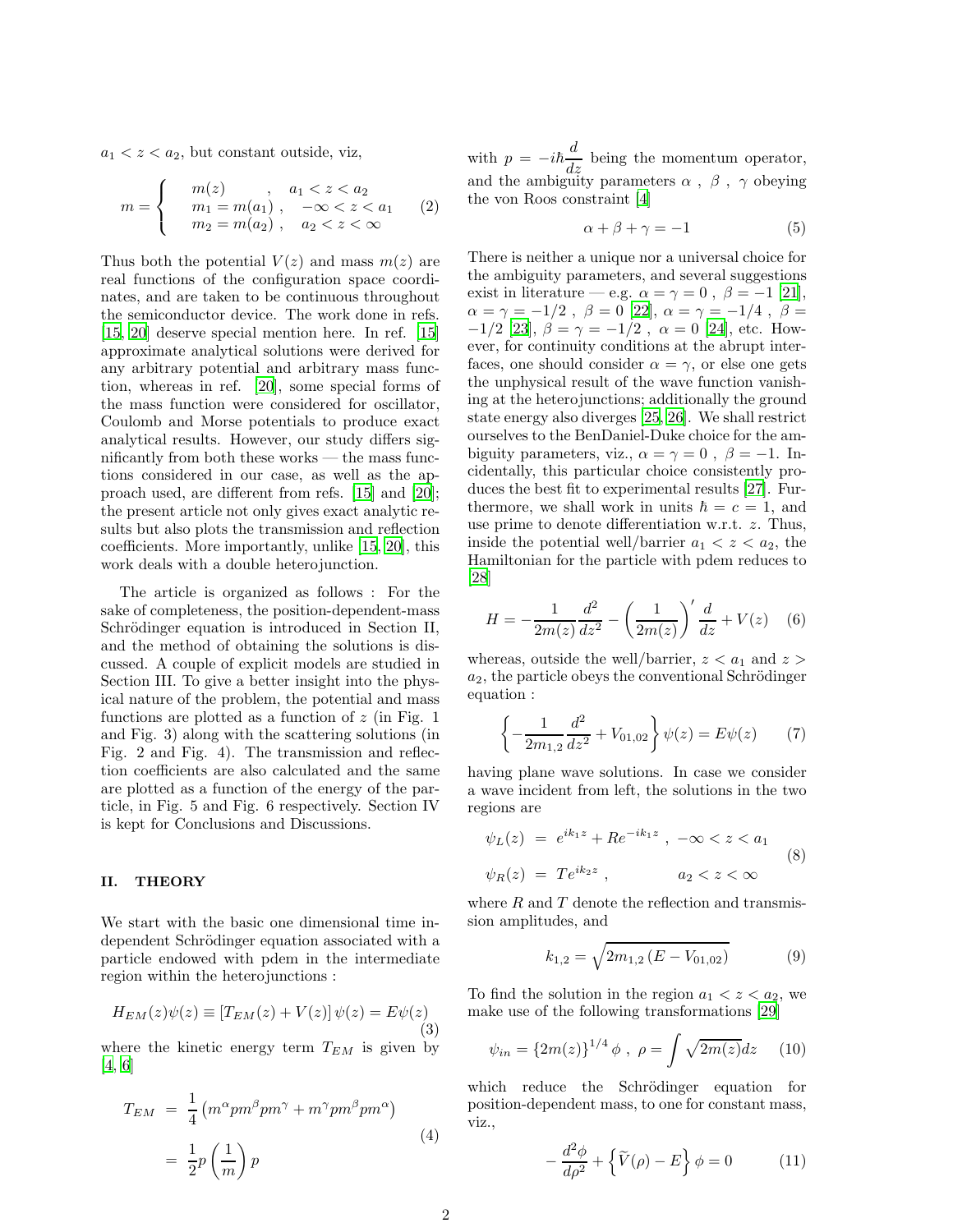$a_1 < z < a_2$ , but constant outside, viz,

$$
m = \begin{cases} m(z) , & a_1 < z < a_2 \\ m_1 = m(a_1) , & -\infty < z < a_1 \\ m_2 = m(a_2) , & a_2 < z < \infty \end{cases}
$$
 (2)

Thus both the potential  $V(z)$  and mass  $m(z)$  are real functions of the configuration space coordinates, and are taken to be continuous throughout the semiconductor device. The work done in refs. [\[15,](#page-5-9) [20\]](#page-5-8) deserve special mention here. In ref. [\[15\]](#page-5-9) approximate analytical solutions were derived for any arbitrary potential and arbitrary mass function, whereas in ref. [\[20\]](#page-5-8), some special forms of the mass function were considered for oscillator, Coulomb and Morse potentials to produce exact analytical results. However, our study differs significantly from both these works — the mass functions considered in our case, as well as the approach used, are different from refs. [\[15\]](#page-5-9) and [\[20](#page-5-8)]; the present article not only gives exact analytic results but also plots the transmission and reflection coefficients. More importantly, unlike [\[15,](#page-5-9) [20\]](#page-5-8), this work deals with a double heterojunction.

The article is organized as follows : For the sake of completeness, the position-dependent-mass Schrödinger equation is introduced in Section II, and the method of obtaining the solutions is discussed. A couple of explicit models are studied in Section III. To give a better insight into the physical nature of the problem, the potential and mass functions are plotted as a function of  $z$  (in Fig. 1) and Fig. 3) along with the scattering solutions (in Fig. 2 and Fig. 4). The transmission and reflection coefficients are also calculated and the same are plotted as a function of the energy of the particle, in Fig. 5 and Fig. 6 respectively. Section IV is kept for Conclusions and Discussions.

## II. THEORY

We start with the basic one dimensional time independent Schrödinger equation associated with a particle endowed with pdem in the intermediate region within the heterojunctions :

<span id="page-1-2"></span>
$$
H_{EM}(z)\psi(z) \equiv \left[T_{EM}(z) + V(z)\right]\psi(z) = E\psi(z)
$$
\n(3)

where the kinetic energy term  $T_{EM}$  is given by [\[4,](#page-5-10) [6\]](#page-5-11)

$$
T_{EM} = \frac{1}{4} \left( m^{\alpha} p m^{\beta} p m^{\gamma} + m^{\gamma} p m^{\beta} p m^{\alpha} \right)
$$

$$
= \frac{1}{2} p \left( \frac{1}{m} \right) p
$$
(4)

with  $p = -i\hbar \frac{d}{dz}$  being the momentum operator, and the ambiguity parameters  $\alpha$  ,  $\,\beta$  ,  $\,\gamma$  obeying the von Roos constraint [\[4\]](#page-5-10)

$$
\alpha + \beta + \gamma = -1 \tag{5}
$$

There is neither a unique nor a universal choice for the ambiguity parameters, and several suggestions exist in literature — e.g.  $\alpha = \gamma = 0$ ,  $\beta = -1$  [\[21\]](#page-5-12),  $\alpha=\gamma=-1/2$  ,  $\,\beta=0$  [\[22](#page-5-13)],  $\alpha=\gamma=-1/4$  ,  $\,\beta=$  $-1/2$  [\[23\]](#page-5-14),  $\beta = \gamma = -1/2$ ,  $\alpha = 0$  [\[24\]](#page-5-15), etc. However, for continuity conditions at the abrupt interfaces, one should consider  $\alpha = \gamma$ , or else one gets the unphysical result of the wave function vanishing at the heterojunctions; additionally the ground state energy also diverges [\[25,](#page-5-16) [26](#page-5-17)]. We shall restrict ourselves to the BenDaniel-Duke choice for the ambiguity parameters, viz.,  $\alpha = \gamma = 0$ ,  $\beta = -1$ . Incidentally, this particular choice consistently produces the best fit to experimental results [\[27](#page-5-18)]. Furthermore, we shall work in units  $\hbar = c = 1$ , and use prime to denote differentiation w.r.t. z. Thus, inside the potential well/barrier  $a_1 < z < a_2$ , the Hamiltonian for the particle with pdem reduces to [\[28](#page-5-19)]

$$
H = -\frac{1}{2m(z)}\frac{d^2}{dz^2} - \left(\frac{1}{2m(z)}\right)' \frac{d}{dz} + V(z) \quad (6)
$$

whereas, outside the well/barrier,  $z < a_1$  and  $z >$  $a_2$ , the particle obeys the conventional Schrödinger equation :

$$
\left\{-\frac{1}{2m_{1,2}}\frac{d^2}{dz^2} + V_{01,02}\right\}\psi(z) = E\psi(z) \tag{7}
$$

having plane wave solutions. In case we consider a wave incident from left, the solutions in the two regions are

<span id="page-1-3"></span>
$$
\psi_L(z) = e^{ik_1 z} + R e^{-ik_1 z} , -\infty < z < a_1
$$
  
\n
$$
\psi_R(z) = T e^{ik_2 z} , \qquad a_2 < z < \infty
$$
 (8)

where  $R$  and  $T$  denote the reflection and transmission amplitudes, and

$$
k_{1,2} = \sqrt{2m_{1,2}\left(E - V_{01,02}\right)}\tag{9}
$$

To find the solution in the region  $a_1 < z < a_2$ , we make use of the following transformations [\[29\]](#page-6-0)

<span id="page-1-1"></span>
$$
\psi_{in} = \{2m(z)\}^{1/4} \phi , \ \rho = \int \sqrt{2m(z)} dz \tag{10}
$$

which reduce the Schrödinger equation for position-dependent mass, to one for constant mass, viz.,

<span id="page-1-0"></span>
$$
-\frac{d^2\phi}{d\rho^2} + \left\{\widetilde{V}(\rho) - E\right\}\phi = 0\tag{11}
$$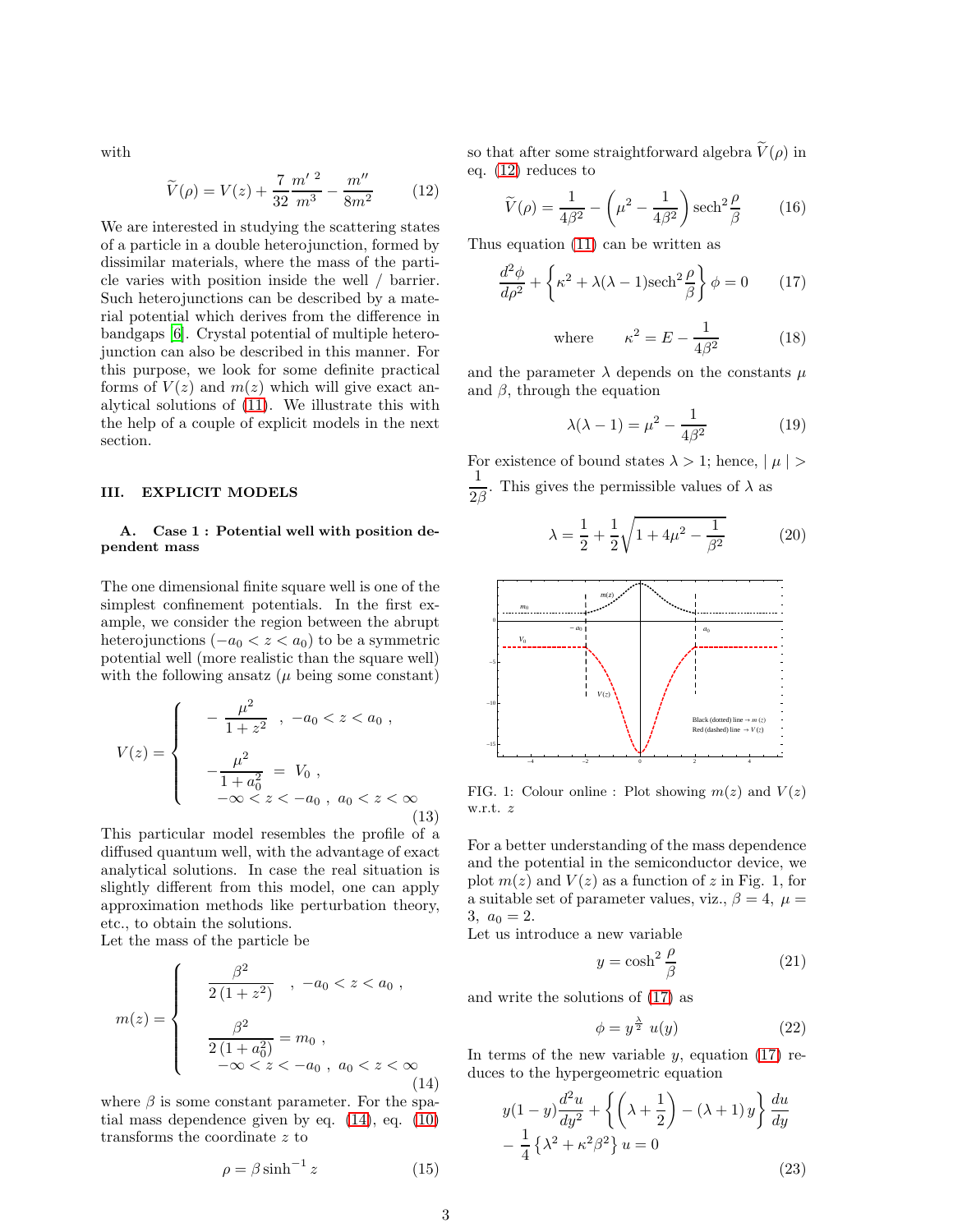with

<span id="page-2-1"></span>
$$
\widetilde{V}(\rho) = V(z) + \frac{7}{32} \frac{m'^2}{m^3} - \frac{m''}{8m^2}
$$
 (12)

We are interested in studying the scattering states of a particle in a double heterojunction, formed by dissimilar materials, where the mass of the particle varies with position inside the well / barrier. Such heterojunctions can be described by a material potential which derives from the difference in bandgaps [\[6\]](#page-5-11). Crystal potential of multiple heterojunction can also be described in this manner. For this purpose, we look for some definite practical forms of  $V(z)$  and  $m(z)$  which will give exact analytical solutions of [\(11\)](#page-1-0). We illustrate this with the help of a couple of explicit models in the next section.

#### III. EXPLICIT MODELS

# A. Case 1 : Potential well with position dependent mass

The one dimensional finite square well is one of the simplest confinement potentials. In the first example, we consider the region between the abrupt heterojunctions  $(-a_0 < z < a_0)$  to be a symmetric potential well (more realistic than the square well) with the following ansatz  $(\mu \text{ being some constant})$ 

$$
V(z) = \begin{cases} -\frac{\mu^2}{1+z^2} , -a_0 < z < a_0 ,\\ -\frac{\mu^2}{1+a_0^2} = V_0 ,\\ -\infty < z < -a_0 , a_0 < z < \infty \\ (13) \end{cases}
$$

This particular model resembles the profile of a diffused quantum well, with the advantage of exact analytical solutions. In case the real situation is slightly different from this model, one can apply approximation methods like perturbation theory, etc., to obtain the solutions.

Let the mass of the particle be

<span id="page-2-0"></span>
$$
m(z) = \begin{cases} \frac{\beta^2}{2(1+z^2)}, & -a_0 < z < a_0 ,\\ \frac{\beta^2}{2(1+a_0^2)} = m_0 ,\\ -\infty < z < -a_0 , & a_0 < z < \infty \\ (14) \end{cases}
$$

where  $\beta$  is some constant parameter. For the spatial mass dependence given by eq. [\(14\)](#page-2-0), eq. [\(10\)](#page-1-1) transforms the coordinate z to

$$
\rho = \beta \sinh^{-1} z \tag{15}
$$

so that after some straightforward algebra  $\widetilde{V}(\rho)$  in eq. [\(12\)](#page-2-1) reduces to

$$
\widetilde{V}(\rho) = \frac{1}{4\beta^2} - \left(\mu^2 - \frac{1}{4\beta^2}\right) \operatorname{sech}^2 \frac{\rho}{\beta} \tag{16}
$$

Thus equation [\(11\)](#page-1-0) can be written as

<span id="page-2-2"></span>
$$
\frac{d^2\phi}{d\rho^2} + \left\{\kappa^2 + \lambda(\lambda - 1)\mathrm{sech}^2\frac{\rho}{\beta}\right\}\phi = 0\qquad(17)
$$

where 
$$
\kappa^2 = E - \frac{1}{4\beta^2}
$$
 (18)

and the parameter  $\lambda$  depends on the constants  $\mu$ and  $\beta$ , through the equation

$$
\lambda(\lambda - 1) = \mu^2 - \frac{1}{4\beta^2} \tag{19}
$$

For existence of bound states  $\lambda > 1$ ; hence,  $|\mu| >$ 1  $\frac{1}{2\beta}$ . This gives the permissible values of  $\lambda$  as

$$
\lambda = \frac{1}{2} + \frac{1}{2}\sqrt{1 + 4\mu^2 - \frac{1}{\beta^2}} \tag{20}
$$



FIG. 1: Colour online : Plot showing  $m(z)$  and  $V(z)$ w.r.t. z

For a better understanding of the mass dependence and the potential in the semiconductor device, we plot  $m(z)$  and  $V(z)$  as a function of z in Fig. 1, for a suitable set of parameter values, viz.,  $\beta = 4$ ,  $\mu =$  $3, a_0 = 2.$ 

Let us introduce a new variable

$$
y = \cosh^2 \frac{\rho}{\beta} \tag{21}
$$

and write the solutions of [\(17\)](#page-2-2) as

$$
\phi = y^{\frac{\lambda}{2}} u(y) \tag{22}
$$

In terms of the new variable  $y$ , equation [\(17\)](#page-2-2) reduces to the hypergeometric equation

$$
y(1-y)\frac{d^2u}{dy^2} + \left\{ \left( \lambda + \frac{1}{2} \right) - (\lambda + 1)y \right\} \frac{du}{dy}
$$

$$
- \frac{1}{4} \left\{ \lambda^2 + \kappa^2 \beta^2 \right\} u = 0
$$
(23)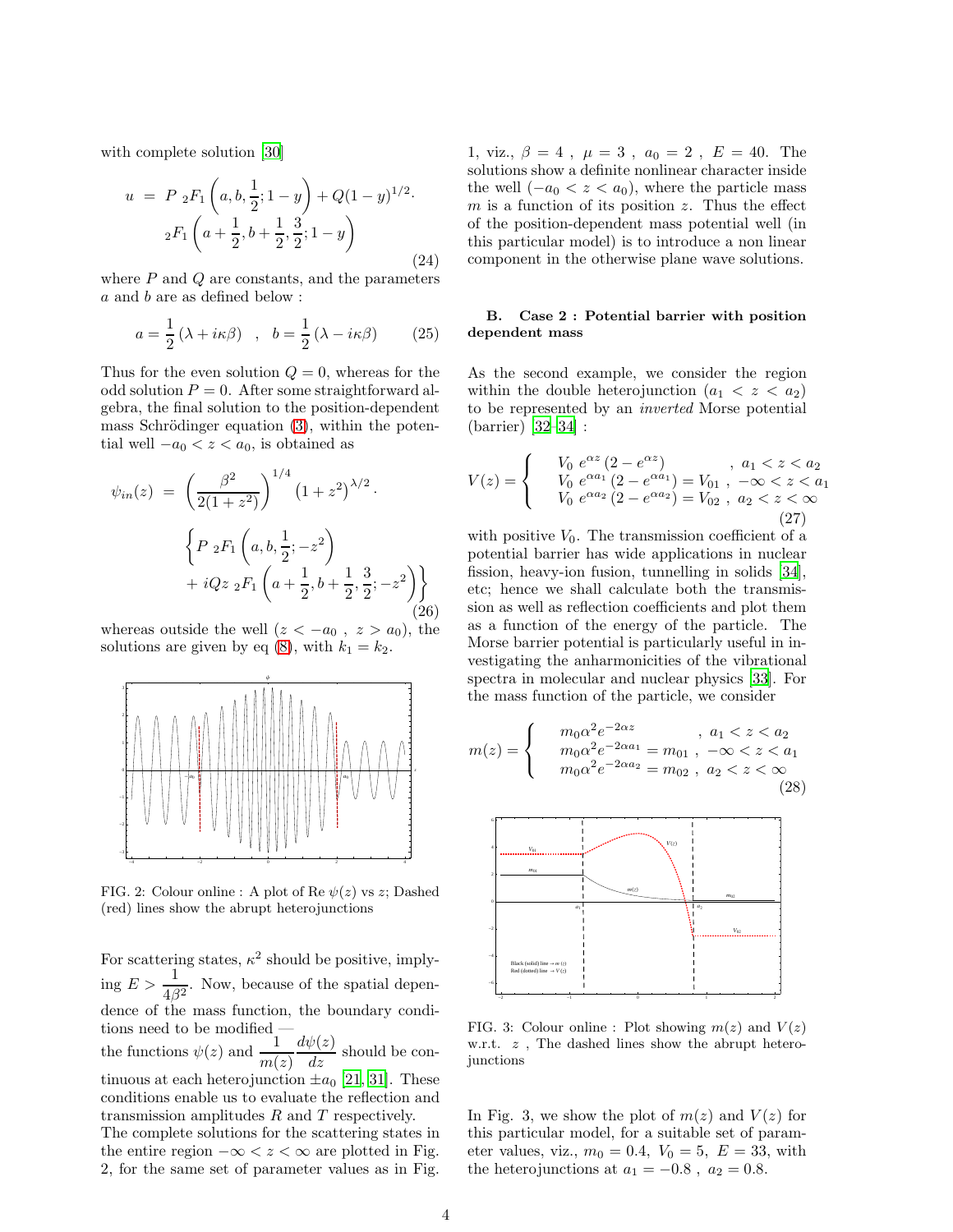with complete solution [\[30\]](#page-6-1)

$$
u = P_2F_1\left(a, b, \frac{1}{2}; 1-y\right) + Q(1-y)^{1/2}.
$$
  

$$
{}_2F_1\left(a + \frac{1}{2}, b + \frac{1}{2}, \frac{3}{2}; 1-y\right)
$$
 (24)

where  $P$  and  $Q$  are constants, and the parameters a and b are as defined below :

$$
a = \frac{1}{2} (\lambda + i\kappa\beta) , b = \frac{1}{2} (\lambda - i\kappa\beta)
$$
 (25)

Thus for the even solution  $Q = 0$ , whereas for the odd solution  $P = 0$ . After some straightforward algebra, the final solution to the position-dependent mass Schrödinger equation  $(3)$ , within the potential well  $-a_0 < z < a_0$ , is obtained as

$$
\psi_{in}(z) = \left(\frac{\beta^2}{2(1+z^2)}\right)^{1/4} (1+z^2)^{\lambda/2}.
$$

$$
\left\{P_2F_1\left(a,b,\frac{1}{2};-z^2\right) + iQz_2F_1\left(a+\frac{1}{2},b+\frac{1}{2},\frac{3}{2};-z^2\right)\right\}
$$
(26)

whereas outside the well  $(z < -a_0, z > a_0)$ , the solutions are given by eq [\(8\)](#page-1-3), with  $k_1 = k_2$ .



FIG. 2: Colour online : A plot of Re  $\psi(z)$  vs z; Dashed (red) lines show the abrupt heterojunctions

For scattering states,  $\kappa^2$  should be positive, implying  $E > \frac{1}{4\beta^2}$ . Now, because of the spatial dependence of the mass function, the boundary conditions need to be modified the functions  $\psi(z)$  and  $\frac{1}{m(z)}$  $\frac{d\psi(z)}{dz}$  should be continuous at each heterojunction  $\pm a_0$  [\[21,](#page-5-12) [31](#page-6-2)]. These conditions enable us to evaluate the reflection and transmission amplitudes  $R$  and  $T$  respectively. The complete solutions for the scattering states in

the entire region  $-\infty < z < \infty$  are plotted in Fig. 2, for the same set of parameter values as in Fig. 1, viz.,  $\beta = 4$ ,  $\mu = 3$ ,  $a_0 = 2$ ,  $E = 40$ . The solutions show a definite nonlinear character inside the well  $(-a_0 < z < a_0)$ , where the particle mass  $m$  is a function of its position  $z$ . Thus the effect of the position-dependent mass potential well (in this particular model) is to introduce a non linear component in the otherwise plane wave solutions.

# B. Case 2 : Potential barrier with position dependent mass

As the second example, we consider the region within the double heterojunction  $(a_1 < z < a_2)$ to be represented by an inverted Morse potential (barrier) [\[32](#page-6-3)[–34\]](#page-6-4) :

$$
V(z) = \begin{cases} V_0 e^{\alpha z} (2 - e^{\alpha z}) & , a_1 < z < a_2 \\ V_0 e^{\alpha a_1} (2 - e^{\alpha a_1}) = V_{01} & , -\infty < z < a_1 \\ V_0 e^{\alpha a_2} (2 - e^{\alpha a_2}) = V_{02} & , a_2 < z < \infty \end{cases}
$$
(27)

with positive  $V_0$ . The transmission coefficient of a potential barrier has wide applications in nuclear fission, heavy-ion fusion, tunnelling in solids [\[34\]](#page-6-4), etc; hence we shall calculate both the transmission as well as reflection coefficients and plot them as a function of the energy of the particle. The Morse barrier potential is particularly useful in investigating the anharmonicities of the vibrational spectra in molecular and nuclear physics [\[33\]](#page-6-5). For the mass function of the particle, we consider

<span id="page-3-0"></span>
$$
m(z) = \begin{cases} m_0 \alpha^2 e^{-2\alpha z} & , a_1 < z < a_2 \\ m_0 \alpha^2 e^{-2\alpha a_1} = m_{01} , -\infty < z < a_1 \\ m_0 \alpha^2 e^{-2\alpha a_2} = m_{02} , a_2 < z < \infty \end{cases}
$$
(28)



FIG. 3: Colour online : Plot showing  $m(z)$  and  $V(z)$ w.r.t.  $z$ , The dashed lines show the abrupt heterojunctions

In Fig. 3, we show the plot of  $m(z)$  and  $V(z)$  for this particular model, for a suitable set of parameter values, viz.,  $m_0 = 0.4$ ,  $V_0 = 5$ ,  $E = 33$ , with the heterojunctions at  $a_1 = -0.8$ ,  $a_2 = 0.8$ .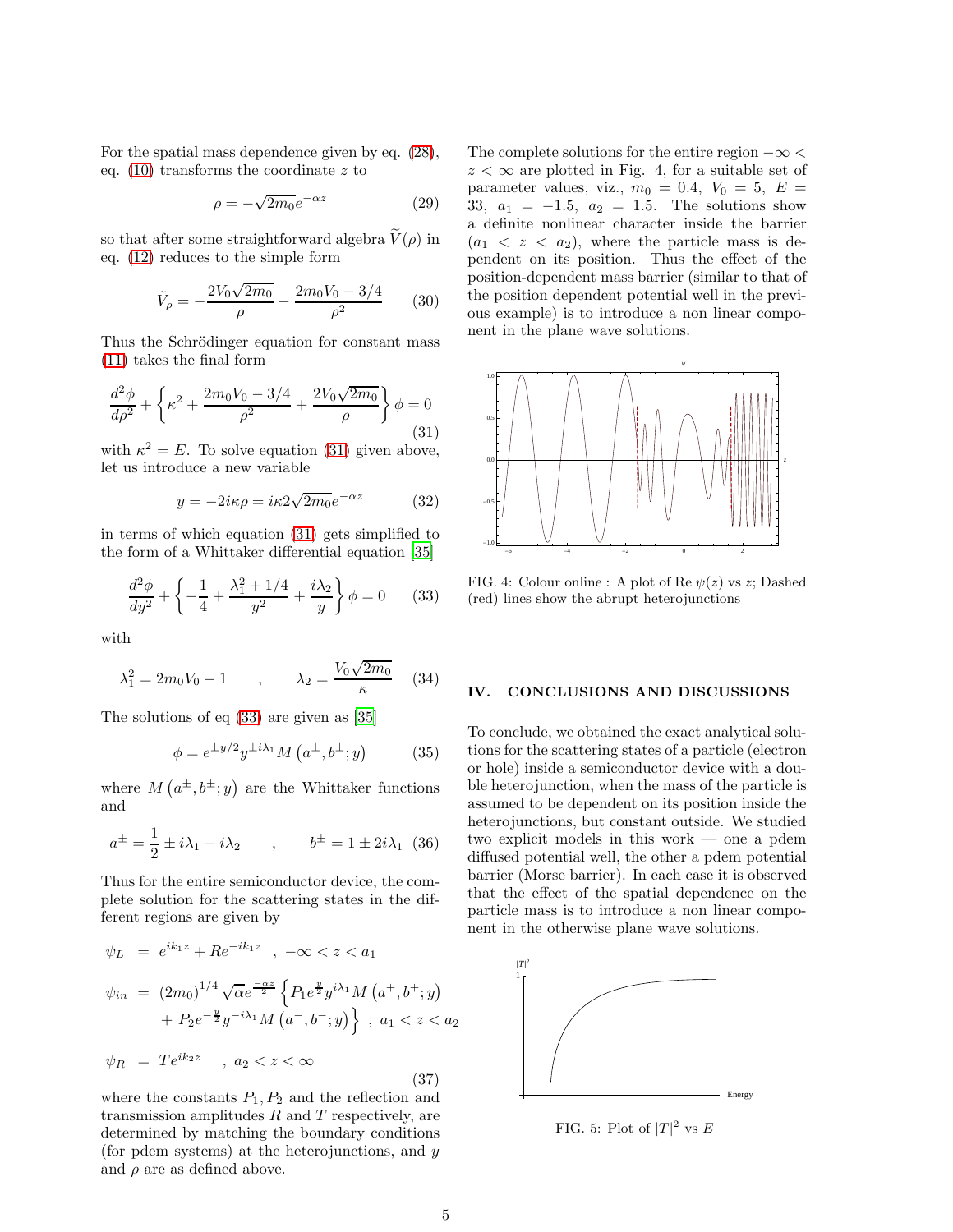For the spatial mass dependence given by eq. [\(28\)](#page-3-0), eq.  $(10)$  transforms the coordinate z to

$$
\rho = -\sqrt{2m_0}e^{-\alpha z} \tag{29}
$$

so that after some straightforward algebra  $\widetilde{V}(\rho)$  in eq. [\(12\)](#page-2-1) reduces to the simple form

$$
\tilde{V}_{\rho} = -\frac{2V_0\sqrt{2m_0}}{\rho} - \frac{2m_0V_0 - 3/4}{\rho^2} \qquad (30)
$$

Thus the Schrödinger equation for constant mass [\(11\)](#page-1-0) takes the final form

<span id="page-4-0"></span>
$$
\frac{d^2\phi}{d\rho^2} + \left\{\kappa^2 + \frac{2m_0V_0 - 3/4}{\rho^2} + \frac{2V_0\sqrt{2m_0}}{\rho}\right\}\phi = 0
$$
\n(31)

with  $\kappa^2 = E$ . To solve equation [\(31\)](#page-4-0) given above, let us introduce a new variable

$$
y = -2i\kappa\rho = i\kappa 2\sqrt{2m_0}e^{-\alpha z}
$$
 (32)

in terms of which equation [\(31\)](#page-4-0) gets simplified to the form of a Whittaker differential equation [\[35](#page-6-6)]

<span id="page-4-1"></span>
$$
\frac{d^2\phi}{dy^2} + \left\{-\frac{1}{4} + \frac{\lambda_1^2 + 1/4}{y^2} + \frac{i\lambda_2}{y}\right\}\phi = 0
$$
 (33)

with

$$
\lambda_1^2 = 2m_0 V_0 - 1 \qquad , \qquad \lambda_2 = \frac{V_0 \sqrt{2m_0}}{\kappa} \quad (34)
$$

The solutions of eq [\(33\)](#page-4-1) are given as [\[35\]](#page-6-6)

$$
\phi = e^{\pm y/2} y^{\pm i\lambda_1} M \left( a^{\pm}, b^{\pm}; y \right) \tag{35}
$$

where  $M(a^{\pm},b^{\pm};y)$  are the Whittaker functions and

$$
a^{\pm} = \frac{1}{2} \pm i\lambda_1 - i\lambda_2 \qquad , \qquad b^{\pm} = 1 \pm 2i\lambda_1 \tag{36}
$$

Thus for the entire semiconductor device, the complete solution for the scattering states in the different regions are given by

$$
\psi_L = e^{ik_1 z} + Re^{-ik_1 z} , -\infty < z < a_1
$$
  
\n
$$
\psi_{in} = (2m_0)^{1/4} \sqrt{\alpha} e^{\frac{-\alpha z}{2}} \left\{ P_1 e^{\frac{y}{2}} y^{i\lambda_1} M \left( a^+, b^+; y \right) + P_2 e^{-\frac{y}{2}} y^{-i\lambda_1} M \left( a^-, b^-; y \right) \right\} , a_1 < z < a_2
$$
  
\n
$$
\psi_R = T e^{ik_2 z} , a_2 < z < \infty
$$
\n(37)

where the constants  $P_1, P_2$  and the reflection and transmission amplitudes  $R$  and  $T$  respectively, are determined by matching the boundary conditions (for pdem systems) at the heterojunctions, and  $y$ and  $\rho$  are as defined above.

The complete solutions for the entire region  $-\infty$  $z < \infty$  are plotted in Fig. 4, for a suitable set of parameter values, viz.,  $m_0 = 0.4$ ,  $V_0 = 5$ ,  $E =$ 33,  $a_1 = -1.5$ ,  $a_2 = 1.5$ . The solutions show a definite nonlinear character inside the barrier  $(a_1 < z < a_2)$ , where the particle mass is dependent on its position. Thus the effect of the position-dependent mass barrier (similar to that of the position dependent potential well in the previous example) is to introduce a non linear component in the plane wave solutions.



FIG. 4: Colour online : A plot of Re  $\psi(z)$  vs z; Dashed (red) lines show the abrupt heterojunctions

## IV. CONCLUSIONS AND DISCUSSIONS

To conclude, we obtained the exact analytical solutions for the scattering states of a particle (electron or hole) inside a semiconductor device with a double heterojunction, when the mass of the particle is assumed to be dependent on its position inside the heterojunctions, but constant outside. We studied two explicit models in this work — one a pdem diffused potential well, the other a pdem potential barrier (Morse barrier). In each case it is observed that the effect of the spatial dependence on the particle mass is to introduce a non linear component in the otherwise plane wave solutions.



FIG. 5: Plot of  $|T|^2$  vs E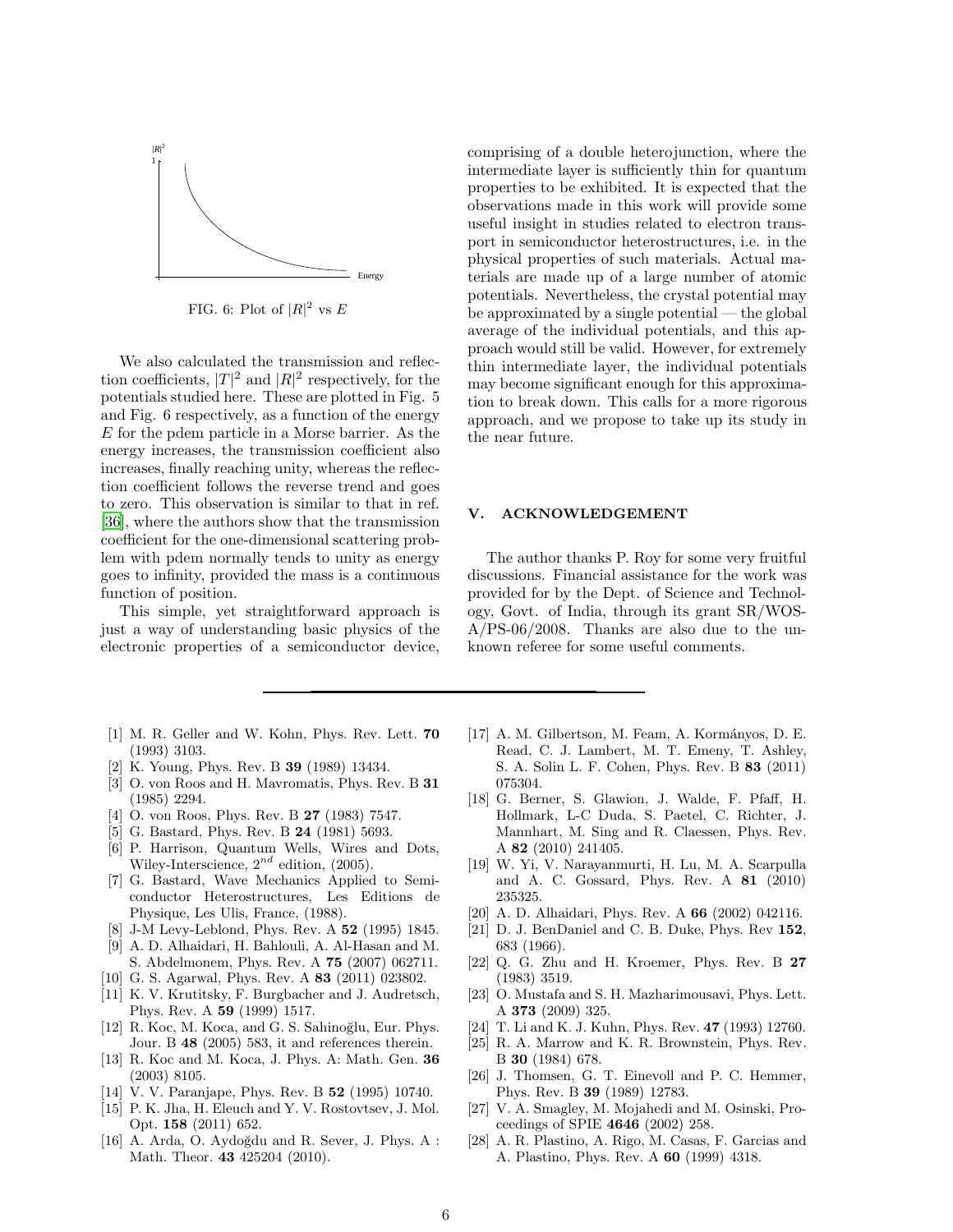

FIG. 6: Plot of  $|R|^2$  vs E

We also calculated the transmission and reflection coefficients,  $|T|^2$  and  $|R|^2$  respectively, for the potentials studied here. These are plotted in Fig. 5 and Fig. 6 respectively, as a function of the energy E for the pdem particle in a Morse barrier. As the energy increases, the transmission coefficient also increases, finally reaching unity, whereas the reflection coefficient follows the reverse trend and goes to zero. This observation is similar to that in ref. [\[36\]](#page-6-7), where the authors show that the transmission coefficient for the one-dimensional scattering problem with pdem normally tends to unity as energy goes to infinity, provided the mass is a continuous function of position.

This simple, yet straightforward approach is just a way of understanding basic physics of the electronic properties of a semiconductor device,

- <span id="page-5-0"></span>[1] M. R. Geller and W. Kohn, Phys. Rev. Lett. 70 (1993) 3103.
- [2] K. Young, Phys. Rev. B 39 (1989) 13434.
- [3] O. von Roos and H. Mavromatis, Phys. Rev. B 31 (1985) 2294.
- <span id="page-5-10"></span>[4] O. von Roos, Phys. Rev. B **27** (1983) 7547.
- [5] G. Bastard, Phys. Rev. B 24 (1981) 5693.
- <span id="page-5-11"></span>[6] P. Harrison, Quantum Wells, Wires and Dots, Wiley-Interscience,  $2^{nd}$  edition, (2005).
- [7] G. Bastard, Wave Mechanics Applied to Semiconductor Heterostructures, Les Editions de Physique, Les Ulis, France, (1988).
- <span id="page-5-1"></span>[8] J-M Levy-Leblond, Phys. Rev. A 52 (1995) 1845.
- <span id="page-5-2"></span>[9] A. D. Alhaidari, H. Bahlouli, A. Al-Hasan and M. S. Abdelmonem, Phys. Rev. A 75 (2007) 062711.
- [10] G. S. Agarwal, Phys. Rev. A 83 (2011) 023802.
- [11] K. V. Krutitsky, F. Burgbacher and J. Audretsch, Phys. Rev. A 59 (1999) 1517.
- [12] R. Koc, M. Koca, and G. S. Sahinoğlu, Eur. Phys. Jour. B 48 (2005) 583, it and references therein.
- <span id="page-5-7"></span>[13] R. Koc and M. Koca, J. Phys. A: Math. Gen. 36 (2003) 8105.
- [14] V. V. Paranjape, Phys. Rev. B 52 (1995) 10740.
- <span id="page-5-9"></span>[15] P. K. Jha, H. Eleuch and Y. V. Rostovtsev, J. Mol. Opt. 158 (2011) 652.
- <span id="page-5-3"></span> $[16]$  A. Arda, O. Aydoğdu and R. Sever, J. Phys. A : Math. Theor. 43 425204 (2010).

comprising of a double heterojunction, where the intermediate layer is sufficiently thin for quantum properties to be exhibited. It is expected that the observations made in this work will provide some useful insight in studies related to electron transport in semiconductor heterostructures, i.e. in the physical properties of such materials. Actual materials are made up of a large number of atomic potentials. Nevertheless, the crystal potential may be approximated by a single potential — the global average of the individual potentials, and this approach would still be valid. However, for extremely thin intermediate layer, the individual potentials may become significant enough for this approximation to break down. This calls for a more rigorous approach, and we propose to take up its study in the near future.

# **ACKNOWLEDGEMENT**

The author thanks P. Roy for some very fruitful discussions. Financial assistance for the work was provided for by the Dept. of Science and Technology, Govt. of India, through its grant SR/WOS-A/PS-06/2008. Thanks are also due to the unknown referee for some useful comments.

- <span id="page-5-4"></span>[17] A. M. Gilbertson, M. Feam, A. Kormányos, D. E. Read, C. J. Lambert, M. T. Emeny, T. Ashley, S. A. Solin L. F. Cohen, Phys. Rev. B 83 (2011) 075304.
- <span id="page-5-5"></span>[18] G. Berner, S. Glawion, J. Walde, F. Pfaff, H. Hollmark, L-C Duda, S. Paetel, C. Richter, J. Mannhart, M. Sing and R. Claessen, Phys. Rev. A 82 (2010) 241405.
- <span id="page-5-6"></span>[19] W. Yi, V. Narayanmurti, H. Lu, M. A. Scarpulla and A. C. Gossard, Phys. Rev. A 81 (2010) 235325.
- <span id="page-5-8"></span>[20] A. D. Alhaidari, Phys. Rev. A 66 (2002) 042116.
- <span id="page-5-12"></span>[21] D. J. BenDaniel and C. B. Duke, Phys. Rev 152, 683 (1966).
- <span id="page-5-13"></span>[22] Q. G. Zhu and H. Kroemer, Phys. Rev. B 27 (1983) 3519.
- <span id="page-5-14"></span>[23] O. Mustafa and S. H. Mazharimousavi, Phys. Lett. A 373 (2009) 325.
- <span id="page-5-15"></span>[24] T. Li and K. J. Kuhn, Phys. Rev. 47 (1993) 12760.
- <span id="page-5-16"></span>[25] R. A. Marrow and K. R. Brownstein, Phys. Rev. B 30 (1984) 678.
- <span id="page-5-17"></span>[26] J. Thomsen, G. T. Einevoll and P. C. Hemmer, Phys. Rev. B 39 (1989) 12783.
- <span id="page-5-18"></span>[27] V. A. Smagley, M. Mojahedi and M. Osinski, Proceedings of SPIE 4646 (2002) 258.
- <span id="page-5-19"></span>[28] A. R. Plastino, A. Rigo, M. Casas, F. Garcias and A. Plastino, Phys. Rev. A 60 (1999) 4318.